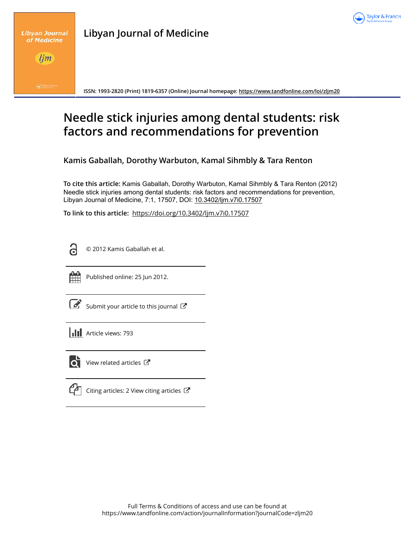

| <b>Libyan Journal</b> |             |  |
|-----------------------|-------------|--|
|                       |             |  |
|                       | of Medicine |  |

**Libyan Journal of Medicine**

lim

**ISSN: 1993-2820 (Print) 1819-6357 (Online) Journal homepage: https://www.tandfonline.com/loi/zljm20**

# **Needle stick injuries among dental students: risk factors and recommendations for prevention**

**Kamis Gaballah, Dorothy Warbuton, Kamal Sihmbly & Tara Renton**

**To cite this article:** Kamis Gaballah, Dorothy Warbuton, Kamal Sihmbly & Tara Renton (2012) Needle stick injuries among dental students: risk factors and recommendations for prevention, Libyan Journal of Medicine, 7:1, 17507, DOI: 10.3402/ljm.v7i0.17507

**To link to this article:** https://doi.org/10.3402/ljm.v7i0.17507

а

© 2012 Kamis Gaballah et al.



Published online: 25 Jun 2012.

|--|

Submit your article to this journal  $\mathbb{Z}$ 

**Article views: 793** 



 $\bullet$  View related articles  $\mathbb{Z}$ 

Citing articles: 2 View citing articles  $\mathbb{Z}$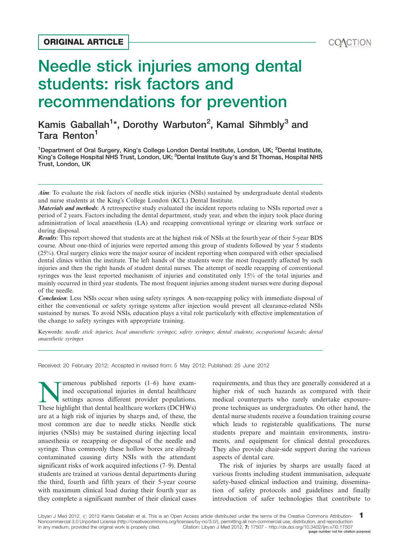# Needle stick injuries among dental students: risk factors and recommendations for prevention ORIGINAL ARTICLE<br>
Needle stick injuries among dental<br>
students: risk factors and<br>
recommendations for prevention

# Kamis Gaballah<sup>1</sup>\*, Dorothy Warbuton<sup>2</sup>, Kamal Sihmbly<sup>3</sup> and Tara Renton<sup>1</sup>

<sup>1</sup>Department of Oral Surgery, King's College London Dental Institute, London, UK; <sup>2</sup>Dental Institute, King's College Hospital NHS Trust, London, UK; <sup>3</sup>Dental Institute Guy's and St Thomas, Hospital NHS Trust, London, UK

Aim: To evaluate the risk factors of needle stick injuries (NSIs) sustained by undergraduate dental students and nurse students at the King's College London (KCL) Dental Institute.

Materials and methods: A retrospective study evaluated the incident reports relating to NSIs reported over a period of 2 years. Factors including the dental department, study year, and when the injury took place during administration of local anaesthesia (LA) and recapping conventional syringe or clearing work surface or during disposal.

Results: This report showed that students are at the highest risk of NSIs at the fourth year of their 5-year BDS course. About one-third of injuries were reported among this group of students followed by year 5 students (25%). Oral surgery clinics were the major source of incident reporting when compared with other specialised dental clinics within the institute. The left hands of the students were the most frequently affected by such injuries and then the right hands of student dental nurses. The attempt of needle recapping of conventional syringes was the least reported mechanism of injuries and constituted only 15% of the total injuries and mainly occurred in third year students. The most frequent injuries among student nurses were during disposal of the needle.

Conclusion: Less NSIs occur when using safety syringes. A non-recapping policy with immediate disposal of either the conventional or safety syringe systems after injection would prevent all clearance-related NSIs sustained by nurses. To avoid NSIs, education plays a vital role particularly with effective implementation of the change to safety syringes with appropriate training.

Keywords: needle stick injuries; local anaesthetic syringes; safety syringes; dental students; occupational hazards; dental anaesthetic syringes

Received: 20 February 2012; Accepted in revised from: 5 May 2012; Published: 25 June 2012

Imerous published reports (1–6) have examined occupational injuries in dental healthcare settings across different provider populations.<br>These highlight that dental healthcare workers (DCHWs) umerous published reports (1-6) have examined occupational injuries in dental healthcare settings across different provider populations. are at a high risk of injuries by sharps and, of these, the most common are due to needle sticks. Needle stick injuries (NSIs) may be sustained during injecting local anaesthesia or recapping or disposal of the needle and syringe. Thus commonly these hollow bores are already contaminated causing dirty NSIs with the attendant significant risks of work acquired infections (7-9). Dental students are trained at various dental departments during the third, fourth and fifth years of their 5-year course with maximum clinical load during their fourth year as they complete a significant number of their clinical cases

requirements, and thus they are generally considered at a higher risk of such hazards as compared with their medical counterparts who rarely undertake exposureprone techniques as undergraduates. On other hand, the dental nurse students receive a foundation training course which leads to registerable qualifications. The nurse students prepare and maintain environments, instruments, and equipment for clinical dental procedures. They also provide chair-side support during the various aspects of dental care.

The risk of injuries by sharps are usually faced at various fronts including student immunisation, adequate safety-based clinical induction and training, dissemination of safety protocols and guidelines and finally introduction of safer technologies that contribute to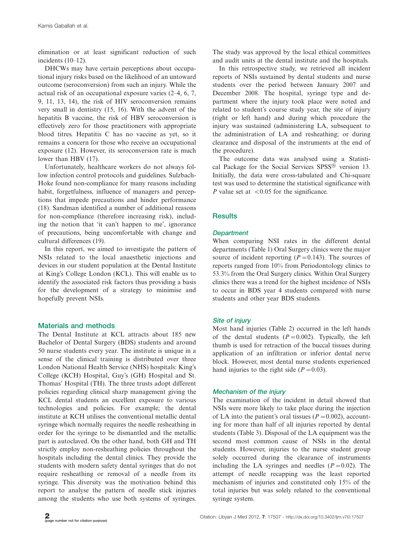elimination or at least significant reduction of such incidents (10-12).

DHCWs may have certain perceptions about occupational injury risks based on the likelihood of an untoward outcome (seroconversion) from such an injury. While the actual risk of an occupational exposure varies (2-4, 6, 7, 9, 11, 13, 14), the risk of HIV seroconversion remains very small in dentistry (15, 16). With the advent of the hepatitis B vaccine, the risk of HBV seroconversion is effectively zero for those practitioners with appropriate blood titres. Hepatitis C has no vaccine as yet, so it remains a concern for those who receive an occupational exposure (12). However, its seroconversion rate is much lower than HBV (17).

Unfortunately, healthcare workers do not always follow infection control protocols and guidelines. Sulzbach-Hoke found non-compliance for many reasons including habit, forgetfulness, influence of managers and perceptions that impede precautions and hinder performance (18). Sandman identified a number of additional reasons for non-compliance (therefore increasing risk), including the notion that 'it can't happen to me', ignorance of precautions, being uncomfortable with change and cultural differences (19).

In this report, we aimed to investigate the pattern of NSIs related to the local anaesthetic injections and devices in our student population at the Dental Institute at King's College London (KCL). This will enable us to identify the associated risk factors thus providing a basis for the development of a strategy to minimise and hopefully prevent NSIs.

# Materials and methods

The Dental Institute at KCL attracts about 185 new Bachelor of Dental Surgery (BDS) students and around 50 nurse students every year. The institute is unique in a sense of the clinical training is distributed over three London National Health Service (NHS) hospitals: King's College (KCH) Hospital, Guy's (GH) Hospital and St. Thomas' Hospital (TH). The three trusts adopt different policies regarding clinical sharp management giving the KCL dental students an excellent exposure to various technologies and policies. For example; the dental institute at KCH utilises the conventional metallic dental syringe which normally requires the needle resheathing in order for the syringe to be dismantled and the metallic part is autoclaved. On the other hand, both GH and TH strictly employ non-resheathing policies throughout the hospitals including the dental clinics. They provide the students with modern safety dental syringes that do not require resheathing or removal of a needle from its syringe. This diversity was the motivation behind this report to analyse the pattern of needle stick injuries among the students who use both systems of syringes.

The study was approved by the local ethical committees and audit units at the dental institute and the hospitals.

In this retrospective study, we retrieved all incident reports of NSIs sustained by dental students and nurse students over the period between January 2007 and December 2008. The hospital, syringe type and department where the injury took place were noted and related to student's course study year, the site of injury (right or left hand) and during which procedure the injury was sustained (administering LA, subsequent to the administration of LA and resheathing; or during clearance and disposal of the instruments at the end of the procedure).

The outcome data was analysed using a Statistical Package for the Social Services SPSS<sup>®</sup> version 13. Initially, the data were cross-tabulated and Chi-square test was used to determine the statistical significance with P value set at  $\leq 0.05$  for the significance.

# **Results**

#### **Department**

When comparing NSI rates in the different dental departments (Table 1) Oral Surgery clinics were the major source of incident reporting  $(P=0.143)$ . The sources of reports ranged from 10% from Periodontology clinics to 53.3% from the Oral Surgery clinics. Within Oral Surgery clinics there was a trend for the highest incidence of NSIs to occur in BDS year 4 students compared with nurse students and other year BDS students.

# Site of injury

Most hand injuries (Table 2) occurred in the left hands of the dental students ( $P=0.002$ ). Typically, the left thumb is used for retraction of the buccal tissues during application of an infiltration or inferior dental nerve block. However, most dental nurse students experienced hand injuries to the right side ( $P=0.03$ ).

#### Mechanism of the injury

The examination of the incident in detail showed that NSIs were more likely to take place during the injection of LA into the patient's oral tissues ( $P=0.002$ ), accounting for more than half of all injuries reported by dental students (Table 3). Disposal of the LA equipment was the second most common cause of NSIs in the dental students. However, injuries to the nurse student group solely occurred during the clearance of instruments including the LA syringes and needles  $(P=0.02)$ . The attempt of needle recapping was the least reported mechanism of injuries and constituted only 15% of the total injuries but was solely related to the conventional syringe system.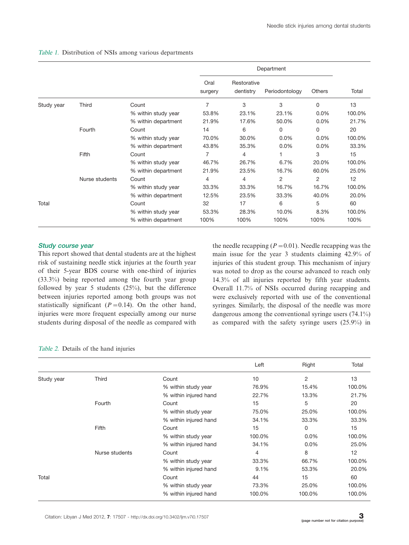# Department Oral surgery **Restorative** dentistry Periodontology Others Total Study year Third Count 7 3 3 0 13 % within study year 53.8% 23.1% 23.1% 0.0% 100.0% % within department 21.9% 17.6% 50.0% 0.0% 21.7% Fourth Count 14 6 0 0 20 % within study year 70.0% 30.0% 0.0% 0.0% 100.0% % within department 43.8% 35.3% 0.0% 0.0% 33.3% Fifth Count 7 4 1 3 15 % within study year 46.7% 26.7% 6.7% 20.0% 100.0% % within department 21.9% 23.5% 16.7% 60.0% 25.0% Nurse students Count 1 4 4 2 2 12 % within study year 33.3% 33.3% 16.7% 16.7% 100.0% % within department 12.5% 23.5% 33.3% 40.0% 20.0% Total Count 32 17 6 5 60 % within study year 53.3% 28.3% 10.0% 8.3% 100.0% % within department 100% 100% 100% 100% 100%

#### Table <sup>1</sup>. Distribution of NSIs among various departments

#### Study course year

This report showed that dental students are at the highest risk of sustaining needle stick injuries at the fourth year of their 5-year BDS course with one-third of injuries (33.3%) being reported among the fourth year group followed by year 5 students (25%), but the difference between injuries reported among both groups was not statistically significant ( $P=0.14$ ). On the other hand, injuries were more frequent especially among our nurse students during disposal of the needle as compared with the needle recapping ( $P=0.01$ ). Needle recapping was the main issue for the year 3 students claiming 42.9% of injuries of this student group. This mechanism of injury was noted to drop as the course advanced to reach only 14.3% of all injuries reported by fifth year students. Overall 11.7% of NSIs occurred during recapping and were exclusively reported with use of the conventional syringes. Similarly, the disposal of the needle was more dangerous among the conventional syringe users (74.1%) as compared with the safety syringe users (25.9%) in

|            |                |                       | Left   | Right   | Total  |
|------------|----------------|-----------------------|--------|---------|--------|
| Study year | Third          | Count                 | 10     | 2       | 13     |
|            |                | % within study year   | 76.9%  | 15.4%   | 100.0% |
|            |                | % within injured hand | 22.7%  | 13.3%   | 21.7%  |
|            | Fourth         | Count                 | 15     | 5       | 20     |
|            |                | % within study year   | 75.0%  | 25.0%   | 100.0% |
|            |                | % within injured hand | 34.1%  | 33.3%   | 33.3%  |
|            | <b>Fifth</b>   | Count                 | 15     | 0       | 15     |
|            |                | % within study year   | 100.0% | $0.0\%$ | 100.0% |
|            |                | % within injured hand | 34.1%  | $0.0\%$ | 25.0%  |
|            | Nurse students | Count                 | 4      | 8       | 12     |
|            |                | % within study year   | 33.3%  | 66.7%   | 100.0% |
|            |                | % within injured hand | 9.1%   | 53.3%   | 20.0%  |
| Total      |                | Count                 | 44     | 15      | 60     |
|            |                | % within study year   | 73.3%  | 25.0%   | 100.0% |
|            |                | % within injured hand | 100.0% | 100.0%  | 100.0% |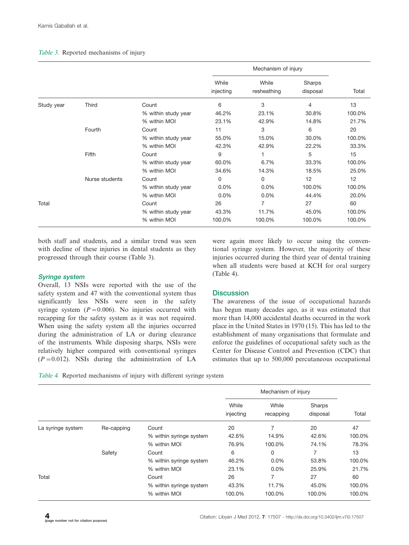#### Table <sup>3</sup>. Reported mechanisms of injury

|            |                |                     | Mechanism of injury |                      |                    |        |
|------------|----------------|---------------------|---------------------|----------------------|--------------------|--------|
|            |                |                     | While<br>injecting  | While<br>resheathing | Sharps<br>disposal | Total  |
| Study year | <b>Third</b>   | Count               | 6                   | 3                    | $\overline{4}$     | 13     |
|            |                | % within study year | 46.2%               | 23.1%                | 30.8%              | 100.0% |
|            |                | % within MOI        | 23.1%               | 42.9%                | 14.8%              | 21.7%  |
|            | Fourth         | Count               | 11                  | 3                    | 6                  | 20     |
|            |                | % within study year | 55.0%               | 15.0%                | 30.0%              | 100.0% |
|            |                | % within MOI        | 42.3%               | 42.9%                | 22.2%              | 33.3%  |
|            | Fifth          | Count               | 9                   | 1                    | 5                  | 15     |
|            |                | % within study year | 60.0%               | 6.7%                 | 33.3%              | 100.0% |
|            |                | % within MOI        | 34.6%               | 14.3%                | 18.5%              | 25.0%  |
|            | Nurse students | Count               | $\Omega$            | 0                    | 12                 | 12     |
|            |                | % within study year | $0.0\%$             | 0.0%                 | 100.0%             | 100.0% |
|            |                | % within MOI        | $0.0\%$             | 0.0%                 | 44.4%              | 20.0%  |
| Total      |                | Count               | 26                  | 7                    | 27                 | 60     |
|            |                | % within study year | 43.3%               | 11.7%                | 45.0%              | 100.0% |
|            |                | % within MOI        | 100.0%              | 100.0%               | 100.0%             | 100.0% |

both staff and students, and a similar trend was seen with decline of these injuries in dental students as they progressed through their course (Table 3).

#### Syringe system

Overall, 13 NSIs were reported with the use of the safety system and 47 with the conventional system thus significantly less NSIs were seen in the safety syringe system  $(P=0.006)$ . No injuries occurred with recapping for the safety system as it was not required. When using the safety system all the injuries occurred during the administration of LA or during clearance of the instruments. While disposing sharps, NSIs were relatively higher compared with conventional syringes  $(P=0.012)$ . NSIs during the administration of LA

were again more likely to occur using the conventional syringe system. However, the majority of these injuries occurred during the third year of dental training when all students were based at KCH for oral surgery (Table 4).

#### **Discussion**

The awareness of the issue of occupational hazards has begun many decades ago, as it was estimated that more than 14,000 accidental deaths occurred in the work place in the United States in 1970 (15). This has led to the establishment of many organisations that formulate and enforce the guidelines of occupational safety such as the Center for Disease Control and Prevention (CDC) that estimates that up to 500,000 percutaneous occupational

Table <sup>4</sup>. Reported mechanisms of injury with different syringe system

|                   |            |                         | Mechanism of injury |                    |                    |        |
|-------------------|------------|-------------------------|---------------------|--------------------|--------------------|--------|
|                   |            |                         | While<br>injecting  | While<br>recapping | Sharps<br>disposal | Total  |
| La syringe system | Re-capping | Count                   | 20                  | 7                  | 20                 | 47     |
|                   |            | % within syringe system | 42.6%               | 14.9%              | 42.6%              | 100.0% |
|                   |            | % within MOI            | 76.9%               | 100.0%             | 74.1%              | 78.3%  |
|                   | Safety     | Count                   | 6                   | $\mathbf{0}$       | 7                  | 13     |
|                   |            | % within syringe system | 46.2%               | $0.0\%$            | 53.8%              | 100.0% |
|                   |            | % within MOI            | 23.1%               | $0.0\%$            | 25.9%              | 21.7%  |
| Total             |            | Count                   | 26                  | 7                  | 27                 | 60     |
|                   |            | % within syringe system | 43.3%               | 11.7%              | 45.0%              | 100.0% |
|                   |            | % within MOI            | 100.0%              | 100.0%             | 100.0%             | 100.0% |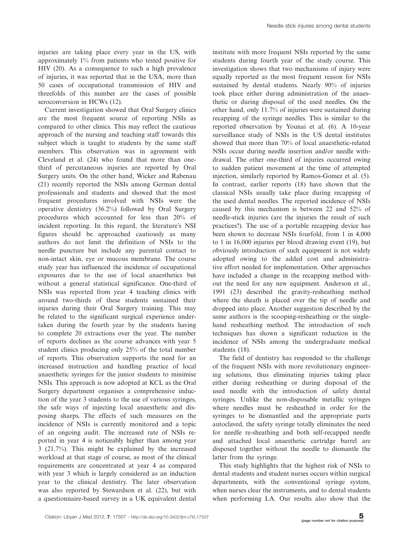injuries are taking place every year in the US, with approximately 1% from patients who tested positive for HIV (20). As a consequence to such a high prevalence of injuries, it was reported that in the USA, more than 50 cases of occupational transmission of HIV and threefolds of this number are the cases of possible seroconversion in HCWs (12).

Current investigation showed that Oral Surgery clinics are the most frequent source of reporting NSIs as compared to other clinics. This may reflect the cautious approach of the nursing and teaching staff towards this subject which is taught to students by the same staff members. This observation was in agreement with Cleveland et al. (24) who found that more than onethird of percutaneous injuries are reported by Oral Surgery units. On the other hand, Wicker and Rabenau (21) recently reported the NSIs among German dental professionals and students and showed that the most frequent procedures involved with NSIs were the operative dentistry (36.2%) followed by Oral Surgery procedures which accounted for less than 20% of incident reporting. In this regard, the literature's NSI figures should be approached cautiously as many authors do not limit the definition of NSIs to the needle puncture but include any parental contact to non-intact skin, eye or mucous membrane. The course study year has influenced the incidence of occupational exposures due to the use of local anaesthetics but without a general statistical significance. One-third of NSIs was reported from year 4 teaching clinics with around two-thirds of these students sustained their injuries during their Oral Surgery training. This may be related to the significant surgical experience undertaken during the fourth year by the students having to complete 20 extractions over the year. The number of reports declines as the course advances with year 5 student clinics producing only 25% of the total number of reports. This observation supports the need for an increased instruction and handling practice of local anaesthetic syringes for the junior students to minimise NSIs. This approach is now adopted at KCL as the Oral Surgery department organises a comprehensive induction of the year 3 students to the use of various syringes, the safe ways of injecting local anaesthetic and disposing sharps. The effects of such measures on the incidence of NSIs is currently monitored and a topic of an ongoing audit. The increased rate of NSIs reported in year 4 is noticeably higher than among year 3 (21.7%). This might be explained by the increased workload at that stage of course, as most of the clinical requirements are concentrated at year 4 as compared with year 3 which is largely considered as an induction year to the clinical dentistry. The later observation was also reported by Stewardson et al. (22), but with a questionnaire-based survey in a UK equivalent dental

institute with more frequent NSIs reported by the same students during fourth year of the study course. This investigation shows that two mechanisms of injury were equally reported as the most frequent reason for NSIs sustained by dental students. Nearly 90% of injuries took place either during administration of the anaesthetic or during disposal of the used needles. On the other hand, only 11.7% of injuries were sustained during recapping of the syringe needles. This is similar to the reported observation by Younai et al. (6). A 10-year surveillance study of NSIs in the US dental institutes showed that more than 70% of local anaesthetic-related NSIs occur during needle insertion and/or needle withdrawal. The other one-third of injuries occurred owing to sudden patient movement at the time of attempted injection, similarly reported by Ramos-Gomez et al. (5). In contrast, earlier reports (18) have shown that the classical NSIs usually take place during recapping of the used dental needles. The reported incidence of NSIs caused by this mechanism is between 22 and 52% of needle-stick injuries (are the injuries the result of such practices?). The use of a portable recapping device has been shown to decrease NSIs fourfold, from 1 in 4,000 to 1 in 16,000 injuries per blood drawing event (19), but obviously introduction of such equipment is not widely adopted owing to the added cost and administrative effort needed for implementation. Other approaches have included a change in the recapping method without the need for any new equipment. Anderson et al., 1991 (23) described the gravity-resheathing method where the sheath is placed over the tip of needle and dropped into place. Another suggestion described by the same authors is the scooping-resheathing or the singlehand resheathing method. The introduction of such techniques has shown a significant reduction in the incidence of NSIs among the undergraduate medical students (18).

The field of dentistry has responded to the challenge of the frequent NSIs with more revolutionary engineering solutions, thus eliminating injuries taking place either during resheathing or during disposal of the used needle with the introduction of safety dental syringes. Unlike the non-disposable metallic syringes where needles must be resheathed in order for the syringes to be dismantled and the appropriate parts autoclaved, the safety syringe totally eliminates the need for needle re-sheathing and both self-recapped needle and attached local anaesthetic cartridge barrel are disposed together without the needle to dismantle the latter from the syringe.

This study highlights that the highest risk of NSIs to dental students and student nurses occurs within surgical departments, with the conventional syringe system, when nurses clear the instruments, and to dental students when performing LA. Our results also show that the